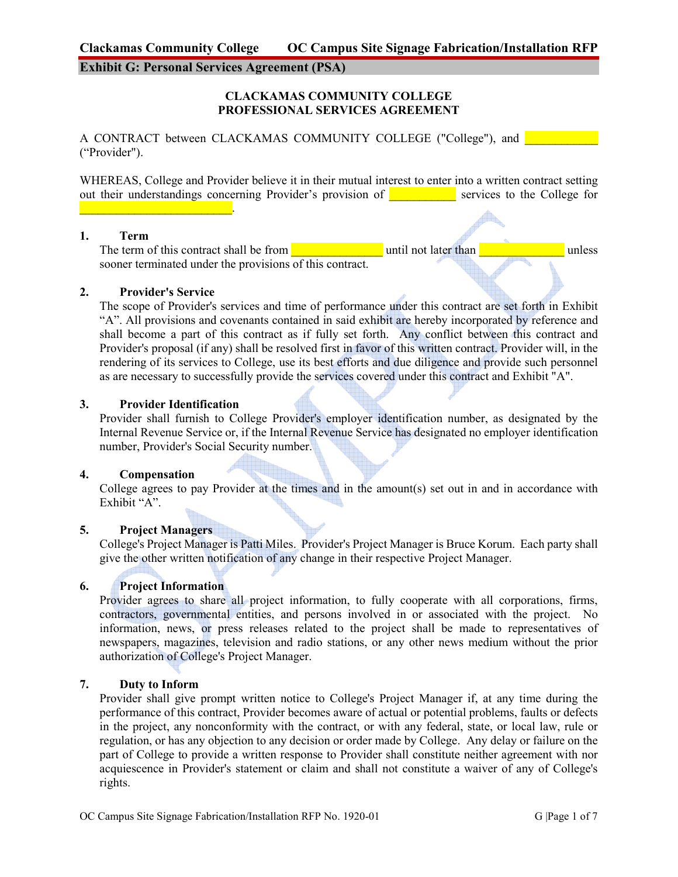# **Exhibit G: Personal Services Agreement (PSA)**

### **CLACKAMAS COMMUNITY COLLEGE PROFESSIONAL SERVICES AGREEMENT**

A CONTRACT between CLACKAMAS COMMUNITY COLLEGE ("College"), and ("Provider").

WHEREAS, College and Provider believe it in their mutual interest to enter into a written contract setting out their understandings concerning Provider's provision of **we service** services to the College for

#### **1. Term**

The term of this contract shall be from  $\Box$  until not later than  $\Box$  unless sooner terminated under the provisions of this contract.

## **2. Provider's Service**

 $\mathcal{L}_\text{max}$  , and the set of the set of the set of the set of the set of the set of the set of the set of the set of the set of the set of the set of the set of the set of the set of the set of the set of the set of the

The scope of Provider's services and time of performance under this contract are set forth in Exhibit "A". All provisions and covenants contained in said exhibit are hereby incorporated by reference and shall become a part of this contract as if fully set forth. Any conflict between this contract and Provider's proposal (if any) shall be resolved first in favor of this written contract. Provider will, in the rendering of its services to College, use its best efforts and due diligence and provide such personnel as are necessary to successfully provide the services covered under this contract and Exhibit "A".

#### **3. Provider Identification**

Provider shall furnish to College Provider's employer identification number, as designated by the Internal Revenue Service or, if the Internal Revenue Service has designated no employer identification number, Provider's Social Security number.

#### **4. Compensation**

College agrees to pay Provider at the times and in the amount(s) set out in and in accordance with Exhibit "A".

## **5. Project Managers**

College's Project Manager is Patti Miles. Provider's Project Manager is Bruce Korum. Each party shall give the other written notification of any change in their respective Project Manager.

## **6. Project Information**

Provider agrees to share all project information, to fully cooperate with all corporations, firms, contractors, governmental entities, and persons involved in or associated with the project. No information, news, or press releases related to the project shall be made to representatives of newspapers, magazines, television and radio stations, or any other news medium without the prior authorization of College's Project Manager.

#### **7. Duty to Inform**

Provider shall give prompt written notice to College's Project Manager if, at any time during the performance of this contract, Provider becomes aware of actual or potential problems, faults or defects in the project, any nonconformity with the contract, or with any federal, state, or local law, rule or regulation, or has any objection to any decision or order made by College. Any delay or failure on the part of College to provide a written response to Provider shall constitute neither agreement with nor acquiescence in Provider's statement or claim and shall not constitute a waiver of any of College's rights.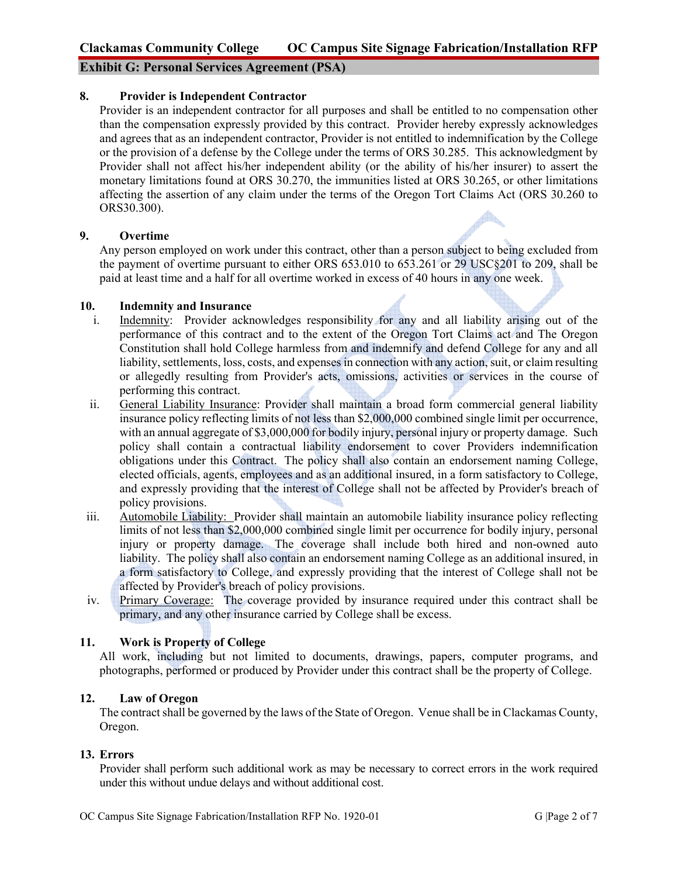# **Exhibit G: Personal Services Agreement (PSA)**

### **8. Provider is Independent Contractor**

Provider is an independent contractor for all purposes and shall be entitled to no compensation other than the compensation expressly provided by this contract. Provider hereby expressly acknowledges and agrees that as an independent contractor, Provider is not entitled to indemnification by the College or the provision of a defense by the College under the terms of ORS 30.285. This acknowledgment by Provider shall not affect his/her independent ability (or the ability of his/her insurer) to assert the monetary limitations found at ORS 30.270, the immunities listed at ORS 30.265, or other limitations affecting the assertion of any claim under the terms of the Oregon Tort Claims Act (ORS 30.260 to ORS30.300).  $\bigtriangleup$ 

### **9. Overtime**

Any person employed on work under this contract, other than a person subject to being excluded from the payment of overtime pursuant to either ORS 653.010 to 653.261 or 29 USC§201 to 209, shall be paid at least time and a half for all overtime worked in excess of 40 hours in any one week.

### **10. Indemnity and Insurance**

- i. Indemnity: Provider acknowledges responsibility for any and all liability arising out of the performance of this contract and to the extent of the Oregon Tort Claims act and The Oregon Constitution shall hold College harmless from and indemnify and defend College for any and all liability, settlements, loss, costs, and expenses in connection with any action, suit, or claim resulting or allegedly resulting from Provider's acts, omissions, activities or services in the course of performing this contract.
- ii. General Liability Insurance: Provider shall maintain a broad form commercial general liability insurance policy reflecting limits of not less than \$2,000,000 combined single limit per occurrence, with an annual aggregate of \$3,000,000 for bodily injury, personal injury or property damage. Such policy shall contain a contractual liability endorsement to cover Providers indemnification obligations under this Contract. The policy shall also contain an endorsement naming College, elected officials, agents, employees and as an additional insured, in a form satisfactory to College, and expressly providing that the interest of College shall not be affected by Provider's breach of policy provisions.
- iii. Automobile Liability: Provider shall maintain an automobile liability insurance policy reflecting limits of not less than \$2,000,000 combined single limit per occurrence for bodily injury, personal injury or property damage. The coverage shall include both hired and non-owned auto liability. The policy shall also contain an endorsement naming College as an additional insured, in a form satisfactory to College, and expressly providing that the interest of College shall not be affected by Provider's breach of policy provisions.
- iv. Primary Coverage: The coverage provided by insurance required under this contract shall be primary, and any other insurance carried by College shall be excess.

# **11. Work is Property of College**

All work, including but not limited to documents, drawings, papers, computer programs, and photographs, performed or produced by Provider under this contract shall be the property of College.

# **12. Law of Oregon**

 The contract shall be governed by the laws of the State of Oregon. Venue shall be in Clackamas County, Oregon.

### **13. Errors**

 Provider shall perform such additional work as may be necessary to correct errors in the work required under this without undue delays and without additional cost.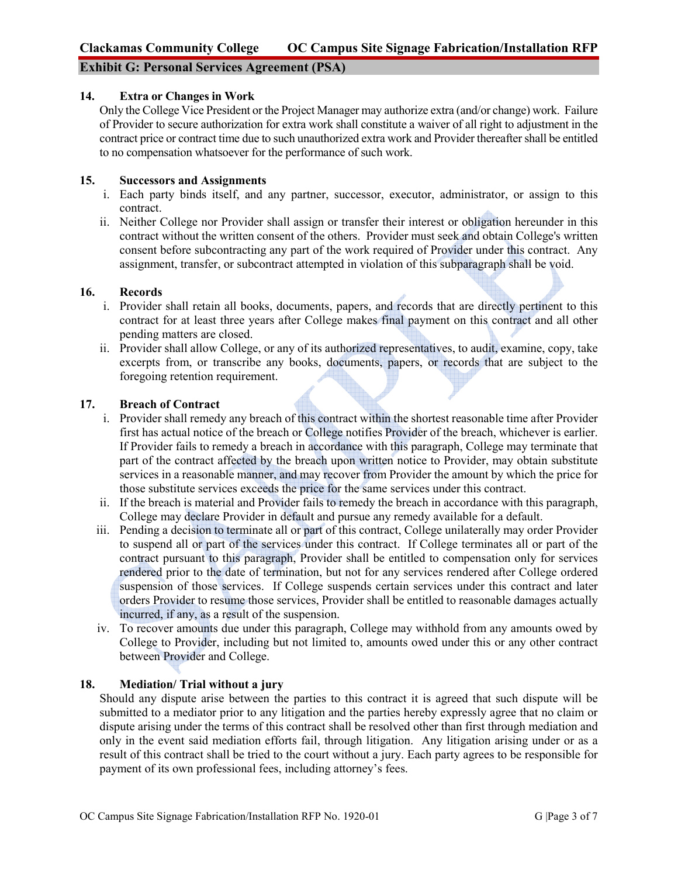# **Exhibit G: Personal Services Agreement (PSA)**

#### **14. Extra or Changes in Work**

Only the College Vice President or the Project Manager may authorize extra (and/or change) work. Failure of Provider to secure authorization for extra work shall constitute a waiver of all right to adjustment in the contract price or contract time due to such unauthorized extra work and Provider thereafter shall be entitled to no compensation whatsoever for the performance of such work.

#### **15. Successors and Assignments**

- i. Each party binds itself, and any partner, successor, executor, administrator, or assign to this contract.
- ii. Neither College nor Provider shall assign or transfer their interest or obligation hereunder in this contract without the written consent of the others. Provider must seek and obtain College's written consent before subcontracting any part of the work required of Provider under this contract. Any assignment, transfer, or subcontract attempted in violation of this subparagraph shall be void.

#### **16. Records**

- i. Provider shall retain all books, documents, papers, and records that are directly pertinent to this contract for at least three years after College makes final payment on this contract and all other pending matters are closed.
- ii. Provider shall allow College, or any of its authorized representatives, to audit, examine, copy, take excerpts from, or transcribe any books, documents, papers, or records that are subject to the foregoing retention requirement.

#### **17. Breach of Contract**

- i. Provider shall remedy any breach of this contract within the shortest reasonable time after Provider first has actual notice of the breach or College notifies Provider of the breach, whichever is earlier. If Provider fails to remedy a breach in accordance with this paragraph, College may terminate that part of the contract affected by the breach upon written notice to Provider, may obtain substitute services in a reasonable manner, and may recover from Provider the amount by which the price for those substitute services exceeds the price for the same services under this contract.
- ii. If the breach is material and Provider fails to remedy the breach in accordance with this paragraph, College may declare Provider in default and pursue any remedy available for a default.
- iii. Pending a decision to terminate all or part of this contract, College unilaterally may order Provider to suspend all or part of the services under this contract. If College terminates all or part of the contract pursuant to this paragraph, Provider shall be entitled to compensation only for services rendered prior to the date of termination, but not for any services rendered after College ordered suspension of those services. If College suspends certain services under this contract and later orders Provider to resume those services, Provider shall be entitled to reasonable damages actually incurred, if any, as a result of the suspension.
- iv. To recover amounts due under this paragraph, College may withhold from any amounts owed by College to Provider, including but not limited to, amounts owed under this or any other contract between Provider and College.

## **18. Mediation/ Trial without a jury**

Should any dispute arise between the parties to this contract it is agreed that such dispute will be submitted to a mediator prior to any litigation and the parties hereby expressly agree that no claim or dispute arising under the terms of this contract shall be resolved other than first through mediation and only in the event said mediation efforts fail, through litigation. Any litigation arising under or as a result of this contract shall be tried to the court without a jury. Each party agrees to be responsible for payment of its own professional fees, including attorney's fees.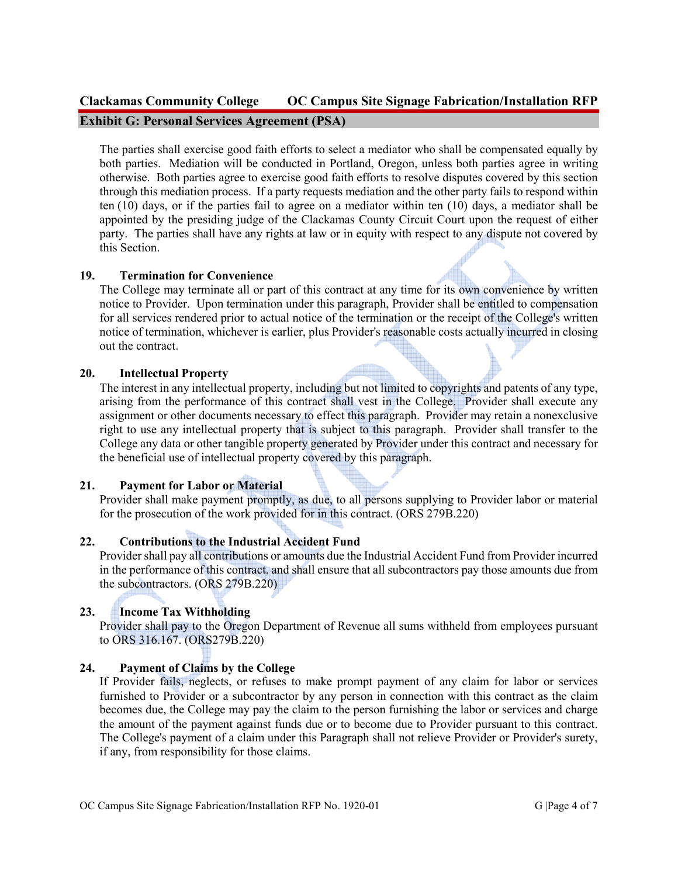# **Clackamas Community College OC Campus Site Signage Fabrication/Installation RFP Exhibit G: Personal Services Agreement (PSA)**

The parties shall exercise good faith efforts to select a mediator who shall be compensated equally by both parties. Mediation will be conducted in Portland, Oregon, unless both parties agree in writing otherwise. Both parties agree to exercise good faith efforts to resolve disputes covered by this section through this mediation process. If a party requests mediation and the other party fails to respond within ten (10) days, or if the parties fail to agree on a mediator within ten (10) days, a mediator shall be appointed by the presiding judge of the Clackamas County Circuit Court upon the request of either party. The parties shall have any rights at law or in equity with respect to any dispute not covered by this Section.

## **19. Termination for Convenience**

The College may terminate all or part of this contract at any time for its own convenience by written notice to Provider. Upon termination under this paragraph, Provider shall be entitled to compensation for all services rendered prior to actual notice of the termination or the receipt of the College's written notice of termination, whichever is earlier, plus Provider's reasonable costs actually incurred in closing out the contract.

## **20. Intellectual Property**

The interest in any intellectual property, including but not limited to copyrights and patents of any type, arising from the performance of this contract shall vest in the College. Provider shall execute any assignment or other documents necessary to effect this paragraph. Provider may retain a nonexclusive right to use any intellectual property that is subject to this paragraph. Provider shall transfer to the College any data or other tangible property generated by Provider under this contract and necessary for the beneficial use of intellectual property covered by this paragraph.

# **21. Payment for Labor or Material**

Provider shall make payment promptly, as due, to all persons supplying to Provider labor or material for the prosecution of the work provided for in this contract. (ORS 279B.220)

# **22. Contributions to the Industrial Accident Fund**

Provider shall pay all contributions or amounts due the Industrial Accident Fund from Provider incurred in the performance of this contract, and shall ensure that all subcontractors pay those amounts due from the subcontractors. (ORS 279B.220)

# **23. Income Tax Withholding**

Provider shall pay to the Oregon Department of Revenue all sums withheld from employees pursuant to ORS 316.167. (ORS279B.220)

# **24. Payment of Claims by the College**

If Provider fails, neglects, or refuses to make prompt payment of any claim for labor or services furnished to Provider or a subcontractor by any person in connection with this contract as the claim becomes due, the College may pay the claim to the person furnishing the labor or services and charge the amount of the payment against funds due or to become due to Provider pursuant to this contract. The College's payment of a claim under this Paragraph shall not relieve Provider or Provider's surety, if any, from responsibility for those claims.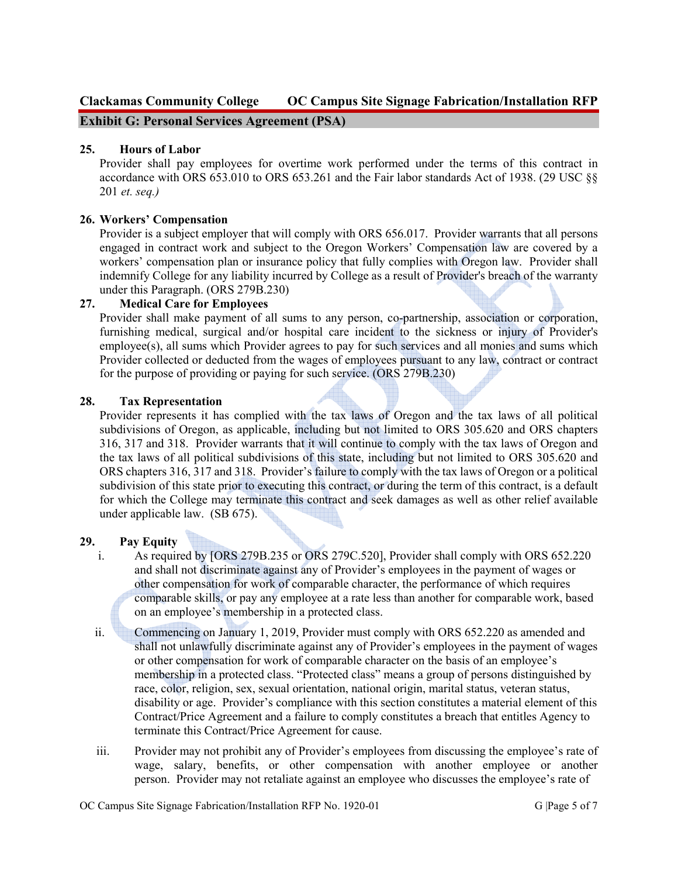# **Clackamas Community College OC Campus Site Signage Fabrication/Installation RFP**

**Exhibit G: Personal Services Agreement (PSA)** 

## **25. Hours of Labor**

Provider shall pay employees for overtime work performed under the terms of this contract in accordance with ORS 653.010 to ORS 653.261 and the Fair labor standards Act of 1938. (29 USC §§ 201 *et. seq.)*

## **26. Workers' Compensation**

Provider is a subject employer that will comply with ORS 656.017. Provider warrants that all persons engaged in contract work and subject to the Oregon Workers' Compensation law are covered by a workers' compensation plan or insurance policy that fully complies with Oregon law. Provider shall indemnify College for any liability incurred by College as a result of Provider's breach of the warranty under this Paragraph. (ORS 279B.230)

## **27. Medical Care for Employees**

Provider shall make payment of all sums to any person, co-partnership, association or corporation, furnishing medical, surgical and/or hospital care incident to the sickness or injury of Provider's  $employee(s)$ , all sums which Provider agrees to pay for such services and all monies and sums which Provider collected or deducted from the wages of employees pursuant to any law, contract or contract for the purpose of providing or paying for such service. (ORS 279B.230)

## **28. Tax Representation**

Provider represents it has complied with the tax laws of Oregon and the tax laws of all political subdivisions of Oregon, as applicable, including but not limited to ORS 305.620 and ORS chapters 316, 317 and 318. Provider warrants that it will continue to comply with the tax laws of Oregon and the tax laws of all political subdivisions of this state, including but not limited to ORS 305.620 and ORS chapters 316, 317 and 318. Provider's failure to comply with the tax laws of Oregon or a political subdivision of this state prior to executing this contract, or during the term of this contract, is a default for which the College may terminate this contract and seek damages as well as other relief available under applicable law. (SB 675).

## **29. Pay Equity**

- i. As required by [ORS 279B.235 or ORS 279C.520], Provider shall comply with ORS 652.220 and shall not discriminate against any of Provider's employees in the payment of wages or other compensation for work of comparable character, the performance of which requires comparable skills, or pay any employee at a rate less than another for comparable work, based on an employee's membership in a protected class.
- ii. Commencing on January 1, 2019, Provider must comply with ORS 652.220 as amended and shall not unlawfully discriminate against any of Provider's employees in the payment of wages or other compensation for work of comparable character on the basis of an employee's membership in a protected class. "Protected class" means a group of persons distinguished by race, color, religion, sex, sexual orientation, national origin, marital status, veteran status, disability or age. Provider's compliance with this section constitutes a material element of this Contract/Price Agreement and a failure to comply constitutes a breach that entitles Agency to terminate this Contract/Price Agreement for cause.
- iii. Provider may not prohibit any of Provider's employees from discussing the employee's rate of wage, salary, benefits, or other compensation with another employee or another person. Provider may not retaliate against an employee who discusses the employee's rate of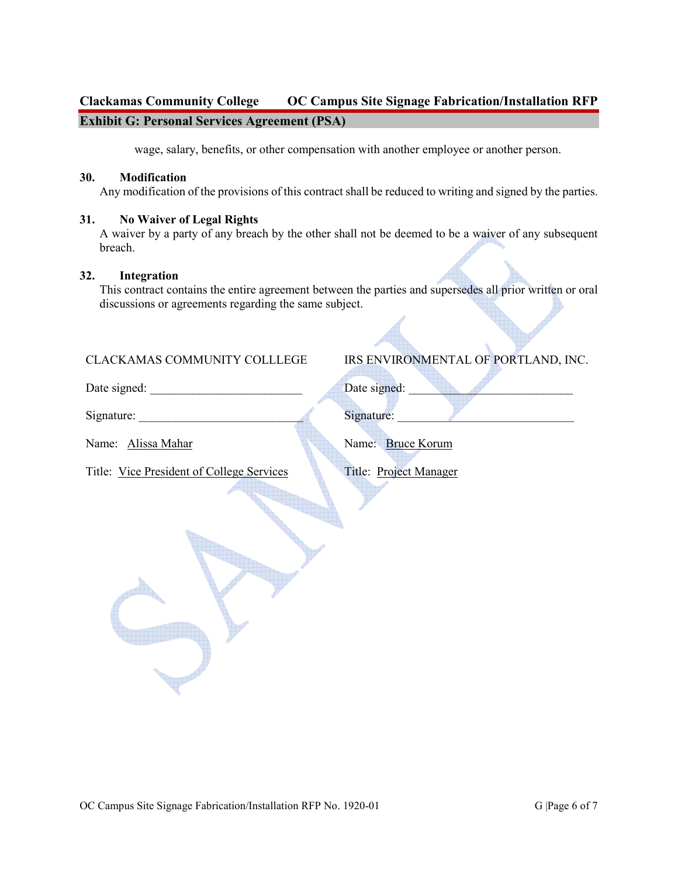# **Clackamas Community College OC Campus Site Signage Fabrication/Installation RFP Exhibit G: Personal Services Agreement (PSA)**

wage, salary, benefits, or other compensation with another employee or another person.

#### **30. Modification**

Any modification of the provisions of this contract shall be reduced to writing and signed by the parties.

#### **31. No Waiver of Legal Rights**

A waiver by a party of any breach by the other shall not be deemed to be a waiver of any subsequent breach.

#### **32. Integration**

This contract contains the entire agreement between the parties and supersedes all prior written or oral discussions or agreements regarding the same subject.

# CLACKAMAS COMMUNITY COLLLEGE

Date signed: \_\_\_\_\_\_\_\_\_\_\_\_\_\_\_\_\_\_\_\_\_\_\_\_\_ Date signed: \_\_\_\_\_\_\_\_\_\_\_\_\_\_\_\_\_\_\_\_\_\_\_\_\_\_\_

Signature:

Name: Alissa Mahar

Title: Vice President of College Services

| IRS ENVIRONMENTAL OF PORTLAND, INC. |  |  |
|-------------------------------------|--|--|
|                                     |  |  |

Signature:

Name: Bruce Korum

Title: Project Manager